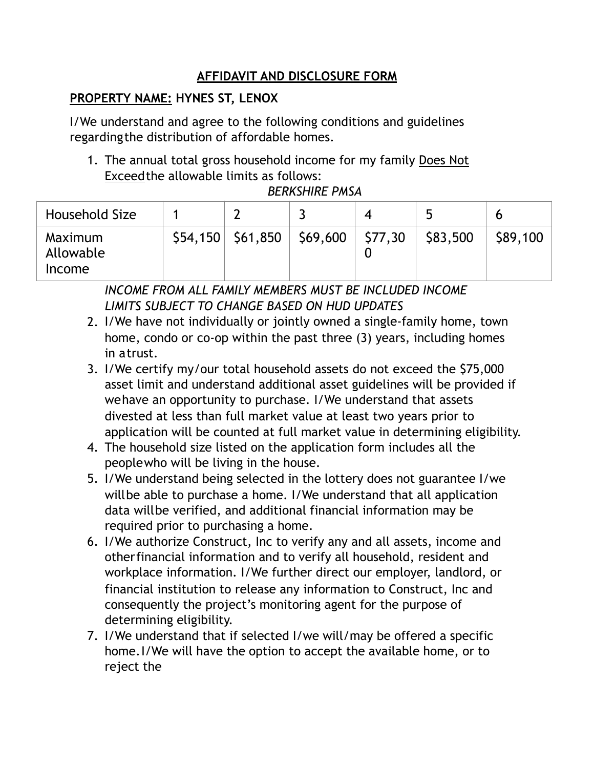## **AFFIDAVIT AND DISCLOSURE FORM**

## **PROPERTY NAME: HYNES ST, LENOX**

I/We understand and agree to the following conditions and guidelines regardingthe distribution of affordable homes.

1. The annual total gross household income for my family Does Not Exceedthe allowable limits as follows:

*BERKSHIRE PMSA* 

| Household Size                 |  |                                        | 4 |          |          |
|--------------------------------|--|----------------------------------------|---|----------|----------|
| Maximum<br>Allowable<br>Income |  | $$54,150$ $$61,850$ $$69,600$ $$77,30$ |   | \$83,500 | \$89,100 |

*INCOME FROM ALL FAMILY MEMBERS MUST BE INCLUDED INCOME LIMITS SUBJECT TO CHANGE BASED ON HUD UPDATES* 

- 2. I/We have not individually or jointly owned a single-family home, town home, condo or co-op within the past three (3) years, including homes in atrust.
- 3. I/We certify my/our total household assets do not exceed the \$75,000 asset limit and understand additional asset guidelines will be provided if wehave an opportunity to purchase. I/We understand that assets divested at less than full market value at least two years prior to application will be counted at full market value in determining eligibility.
- 4. The household size listed on the application form includes all the peoplewho will be living in the house.
- 5. I/We understand being selected in the lottery does not guarantee I/we willbe able to purchase a home. I/We understand that all application data willbe verified, and additional financial information may be required prior to purchasing a home.
- 6. I/We authorize Construct, Inc to verify any and all assets, income and otherfinancial information and to verify all household, resident and workplace information. I/We further direct our employer, landlord, or financial institution to release any information to Construct, Inc and consequently the project's monitoring agent for the purpose of determining eligibility.
- 7. I/We understand that if selected I/we will/may be offered a specific home.I/We will have the option to accept the available home, or to reject the